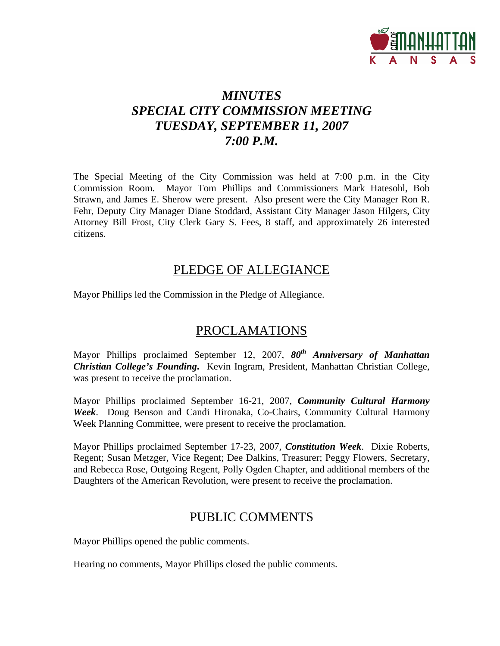

# *MINUTES SPECIAL CITY COMMISSION MEETING TUESDAY, SEPTEMBER 11, 2007 7:00 P.M.*

The Special Meeting of the City Commission was held at 7:00 p.m. in the City Commission Room. Mayor Tom Phillips and Commissioners Mark Hatesohl, Bob Strawn, and James E. Sherow were present. Also present were the City Manager Ron R. Fehr, Deputy City Manager Diane Stoddard, Assistant City Manager Jason Hilgers, City Attorney Bill Frost, City Clerk Gary S. Fees, 8 staff, and approximately 26 interested citizens.

# PLEDGE OF ALLEGIANCE

Mayor Phillips led the Commission in the Pledge of Allegiance.

# PROCLAMATIONS

Mayor Phillips proclaimed September 12, 2007, 80<sup>th</sup> Anniversary of Manhattan *Christian College's Founding***.** Kevin Ingram, President, Manhattan Christian College, was present to receive the proclamation.

Mayor Phillips proclaimed September 16-21, 2007, *Community Cultural Harmony Week*. Doug Benson and Candi Hironaka, Co-Chairs, Community Cultural Harmony Week Planning Committee, were present to receive the proclamation.

Mayor Phillips proclaimed September 17-23, 2007, *Constitution Week*. Dixie Roberts, Regent; Susan Metzger, Vice Regent; Dee Dalkins, Treasurer; Peggy Flowers, Secretary, and Rebecca Rose, Outgoing Regent, Polly Ogden Chapter, and additional members of the Daughters of the American Revolution, were present to receive the proclamation.

# PUBLIC COMMENTS

Mayor Phillips opened the public comments.

Hearing no comments, Mayor Phillips closed the public comments.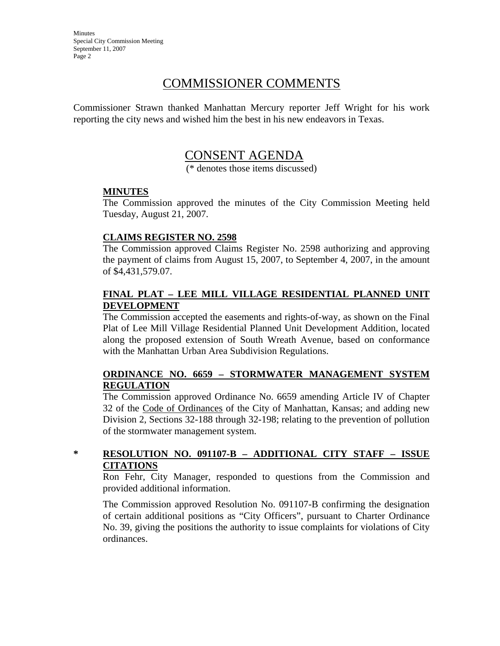# COMMISSIONER COMMENTS

Commissioner Strawn thanked Manhattan Mercury reporter Jeff Wright for his work reporting the city news and wished him the best in his new endeavors in Texas.

# CONSENT AGENDA

(\* denotes those items discussed)

#### **MINUTES**

The Commission approved the minutes of the City Commission Meeting held Tuesday, August 21, 2007.

#### **CLAIMS REGISTER NO. 2598**

The Commission approved Claims Register No. 2598 authorizing and approving the payment of claims from August 15, 2007, to September 4, 2007, in the amount of \$4,431,579.07.

#### **FINAL PLAT – LEE MILL VILLAGE RESIDENTIAL PLANNED UNIT DEVELOPMENT**

The Commission accepted the easements and rights-of-way, as shown on the Final Plat of Lee Mill Village Residential Planned Unit Development Addition, located along the proposed extension of South Wreath Avenue, based on conformance with the Manhattan Urban Area Subdivision Regulations.

#### **ORDINANCE NO. 6659 – STORMWATER MANAGEMENT SYSTEM REGULATION**

The Commission approved Ordinance No. 6659 amending Article IV of Chapter 32 of the Code of Ordinances of the City of Manhattan, Kansas; and adding new Division 2, Sections 32-188 through 32-198; relating to the prevention of pollution of the stormwater management system.

### **\* RESOLUTION NO. 091107-B – ADDITIONAL CITY STAFF – ISSUE CITATIONS**

Ron Fehr, City Manager, responded to questions from the Commission and provided additional information.

The Commission approved Resolution No. 091107-B confirming the designation of certain additional positions as "City Officers", pursuant to Charter Ordinance No. 39, giving the positions the authority to issue complaints for violations of City ordinances.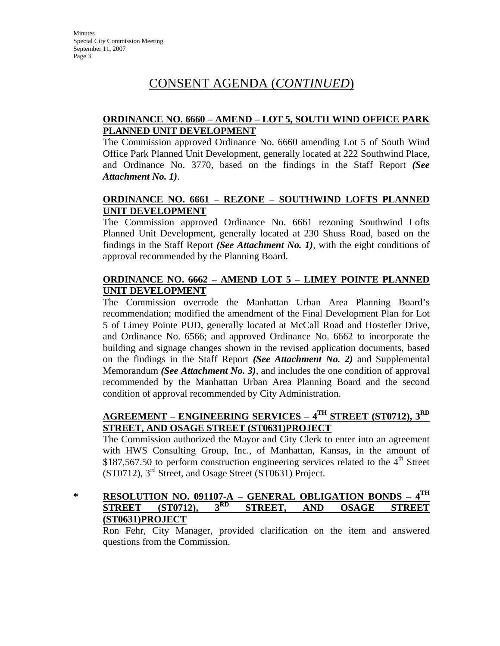# CONSENT AGENDA (*CONTINUED*)

## **ORDINANCE NO. 6660 – AMEND – LOT 5, SOUTH WIND OFFICE PARK PLANNED UNIT DEVELOPMENT**

The Commission approved Ordinance No. 6660 amending Lot 5 of South Wind Office Park Planned Unit Development, generally located at 222 Southwind Place, and Ordinance No. 3770, based on the findings in the Staff Report *(See Attachment No. 1)*.

### **ORDINANCE NO. 6661 – REZONE – SOUTHWIND LOFTS PLANNED UNIT DEVELOPMENT**

The Commission approved Ordinance No. 6661 rezoning Southwind Lofts Planned Unit Development, generally located at 230 Shuss Road, based on the findings in the Staff Report *(See Attachment No. 1)*, with the eight conditions of approval recommended by the Planning Board.

### **ORDINANCE NO. 6662 – AMEND LOT 5 – LIMEY POINTE PLANNED UNIT DEVELOPMENT**

The Commission overrode the Manhattan Urban Area Planning Board's recommendation; modified the amendment of the Final Development Plan for Lot 5 of Limey Pointe PUD, generally located at McCall Road and Hostetler Drive, and Ordinance No. 6566; and approved Ordinance No. 6662 to incorporate the building and signage changes shown in the revised application documents, based on the findings in the Staff Report *(See Attachment No. 2)* and Supplemental Memorandum *(See Attachment No. 3)*, and includes the one condition of approval recommended by the Manhattan Urban Area Planning Board and the second condition of approval recommended by City Administration.

# **AGREEMENT – ENGINEERING SERVICES – 4TH STREET (ST0712), 3RD STREET, AND OSAGE STREET (ST0631)PROJECT**

The Commission authorized the Mayor and City Clerk to enter into an agreement with HWS Consulting Group, Inc., of Manhattan, Kansas, in the amount of \$187,567.50 to perform construction engineering services related to the  $4<sup>th</sup>$  Street (ST0712), 3rd Street, and Osage Street (ST0631) Project.

## **\*** RESOLUTION NO. 091107-A – GENERAL OBLIGATION BONDS<br>STREET (ST0712). 3<sup>RD</sup> STREET AND OSACE ST **STREET (ST0712), 3RD STREET, AND OSAGE STREET (ST0631)PROJECT**

Ron Fehr, City Manager, provided clarification on the item and answered questions from the Commission.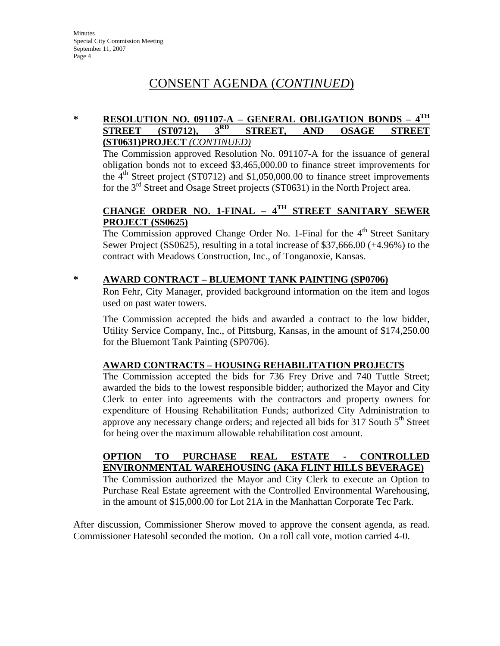# CONSENT AGENDA (*CONTINUED*)

# **\* RESOLUTION NO. 091107-A – GENERAL OBLIGATION BONDS – 4TH STREET (ST0712), 3RD STREET, AND OSAGE STREET (ST0631)PROJECT** *(CONTINUED)*

The Commission approved Resolution No. 091107-A for the issuance of general obligation bonds not to exceed \$3,465,000.00 to finance street improvements for the  $4<sup>th</sup>$  Street project (ST0712) and \$1,050,000.00 to finance street improvements for the 3<sup>rd</sup> Street and Osage Street projects (ST0631) in the North Project area.

## **CHANGE ORDER NO. 1-FINAL – 4TH STREET SANITARY SEWER PROJECT (SS0625)**

The Commission approved Change Order No. 1-Final for the  $4<sup>th</sup>$  Street Sanitary Sewer Project (SS0625), resulting in a total increase of \$37,666.00 (+4.96%) to the contract with Meadows Construction, Inc., of Tonganoxie, Kansas.

#### **\* AWARD CONTRACT – BLUEMONT TANK PAINTING (SP0706)**

Ron Fehr, City Manager, provided background information on the item and logos used on past water towers.

The Commission accepted the bids and awarded a contract to the low bidder, Utility Service Company, Inc., of Pittsburg, Kansas, in the amount of \$174,250.00 for the Bluemont Tank Painting (SP0706).

#### **AWARD CONTRACTS – HOUSING REHABILITATION PROJECTS**

The Commission accepted the bids for 736 Frey Drive and 740 Tuttle Street; awarded the bids to the lowest responsible bidder; authorized the Mayor and City Clerk to enter into agreements with the contractors and property owners for expenditure of Housing Rehabilitation Funds; authorized City Administration to approve any necessary change orders; and rejected all bids for 317 South 5<sup>th</sup> Street for being over the maximum allowable rehabilitation cost amount.

#### **OPTION TO PURCHASE REAL ESTATE - CONTROLLED ENVIRONMENTAL WAREHOUSING (AKA FLINT HILLS BEVERAGE)**

The Commission authorized the Mayor and City Clerk to execute an Option to Purchase Real Estate agreement with the Controlled Environmental Warehousing, in the amount of \$15,000.00 for Lot 21A in the Manhattan Corporate Tec Park.

After discussion, Commissioner Sherow moved to approve the consent agenda, as read. Commissioner Hatesohl seconded the motion. On a roll call vote, motion carried 4-0.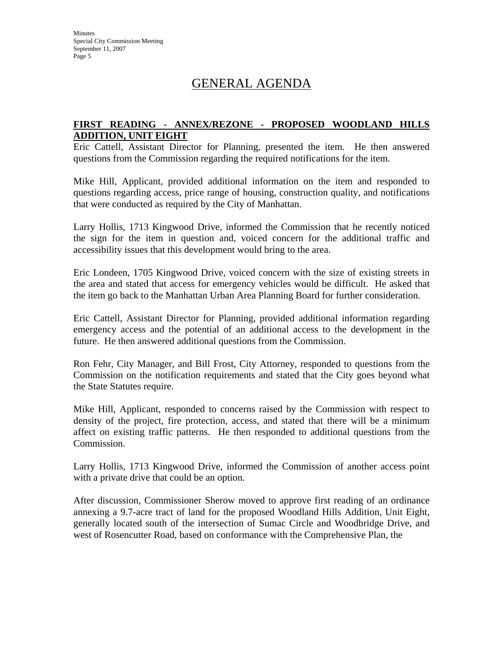# GENERAL AGENDA

### **FIRST READING - ANNEX/REZONE - PROPOSED WOODLAND HILLS ADDITION, UNIT EIGHT**

Eric Cattell, Assistant Director for Planning, presented the item. He then answered questions from the Commission regarding the required notifications for the item.

Mike Hill, Applicant, provided additional information on the item and responded to questions regarding access, price range of housing, construction quality, and notifications that were conducted as required by the City of Manhattan.

Larry Hollis, 1713 Kingwood Drive, informed the Commission that he recently noticed the sign for the item in question and, voiced concern for the additional traffic and accessibility issues that this development would bring to the area.

Eric Londeen, 1705 Kingwood Drive, voiced concern with the size of existing streets in the area and stated that access for emergency vehicles would be difficult. He asked that the item go back to the Manhattan Urban Area Planning Board for further consideration.

Eric Cattell, Assistant Director for Planning, provided additional information regarding emergency access and the potential of an additional access to the development in the future. He then answered additional questions from the Commission.

Ron Fehr, City Manager, and Bill Frost, City Attorney, responded to questions from the Commission on the notification requirements and stated that the City goes beyond what the State Statutes require.

Mike Hill, Applicant, responded to concerns raised by the Commission with respect to density of the project, fire protection, access, and stated that there will be a minimum affect on existing traffic patterns. He then responded to additional questions from the Commission.

Larry Hollis, 1713 Kingwood Drive, informed the Commission of another access point with a private drive that could be an option.

After discussion, Commissioner Sherow moved to approve first reading of an ordinance annexing a 9.7-acre tract of land for the proposed Woodland Hills Addition, Unit Eight, generally located south of the intersection of Sumac Circle and Woodbridge Drive, and west of Rosencutter Road, based on conformance with the Comprehensive Plan, the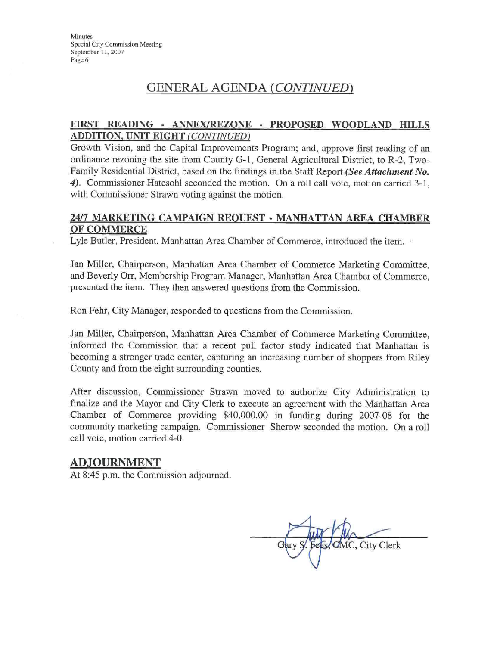# **GENERAL AGENDA (CONTINUED)**

#### FIRST READING - ANNEX/REZONE - PROPOSED WOODLAND HILLS **ADDITION, UNIT EIGHT (CONTINUED)**

Growth Vision, and the Capital Improvements Program; and, approve first reading of an ordinance rezoning the site from County G-1, General Agricultural District, to R-2, Two-Family Residential District, based on the findings in the Staff Report (See Attachment No. 4). Commissioner Hatesohl seconded the motion. On a roll call vote, motion carried 3-1, with Commissioner Strawn voting against the motion.

#### 24/7 MARKETING CAMPAIGN REQUEST - MANHATTAN AREA CHAMBER **OF COMMERCE**

Lyle Butler, President, Manhattan Area Chamber of Commerce, introduced the item.

Jan Miller, Chairperson, Manhattan Area Chamber of Commerce Marketing Committee, and Beverly Orr, Membership Program Manager, Manhattan Area Chamber of Commerce, presented the item. They then answered questions from the Commission.

Ron Fehr, City Manager, responded to questions from the Commission.

Jan Miller, Chairperson, Manhattan Area Chamber of Commerce Marketing Committee, informed the Commission that a recent pull factor study indicated that Manhattan is becoming a stronger trade center, capturing an increasing number of shoppers from Riley County and from the eight surrounding counties.

After discussion, Commissioner Strawn moved to authorize City Administration to finalize and the Mayor and City Clerk to execute an agreement with the Manhattan Area Chamber of Commerce providing \$40,000.00 in funding during 2007-08 for the community marketing campaign. Commissioner Sherow seconded the motion. On a roll call vote, motion carried 4-0.

# **ADJOURNMENT**

At 8:45 p.m. the Commission adjourned.

MC, City Clerk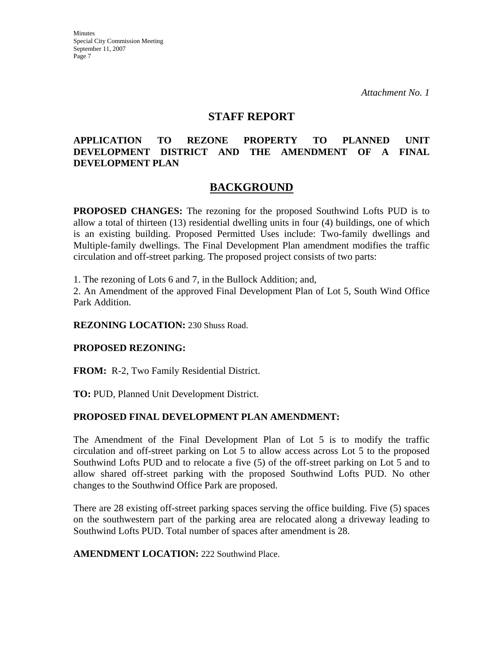#### **STAFF REPORT**

#### **APPLICATION TO REZONE PROPERTY TO PLANNED UNIT DEVELOPMENT DISTRICT AND THE AMENDMENT OF A FINAL DEVELOPMENT PLAN**

# **BACKGROUND**

**PROPOSED CHANGES:** The rezoning for the proposed Southwind Lofts PUD is to allow a total of thirteen (13) residential dwelling units in four (4) buildings, one of which is an existing building. Proposed Permitted Uses include: Two-family dwellings and Multiple-family dwellings. The Final Development Plan amendment modifies the traffic circulation and off-street parking. The proposed project consists of two parts:

1. The rezoning of Lots 6 and 7, in the Bullock Addition; and,

2. An Amendment of the approved Final Development Plan of Lot 5, South Wind Office Park Addition.

**REZONING LOCATION:** 230 Shuss Road.

#### **PROPOSED REZONING:**

**FROM:** R-2, Two Family Residential District.

**TO:** PUD, Planned Unit Development District.

#### **PROPOSED FINAL DEVELOPMENT PLAN AMENDMENT:**

The Amendment of the Final Development Plan of Lot 5 is to modify the traffic circulation and off-street parking on Lot 5 to allow access across Lot 5 to the proposed Southwind Lofts PUD and to relocate a five (5) of the off-street parking on Lot 5 and to allow shared off-street parking with the proposed Southwind Lofts PUD. No other changes to the Southwind Office Park are proposed.

There are 28 existing off-street parking spaces serving the office building. Five (5) spaces on the southwestern part of the parking area are relocated along a driveway leading to Southwind Lofts PUD. Total number of spaces after amendment is 28.

**AMENDMENT LOCATION:** 222 Southwind Place.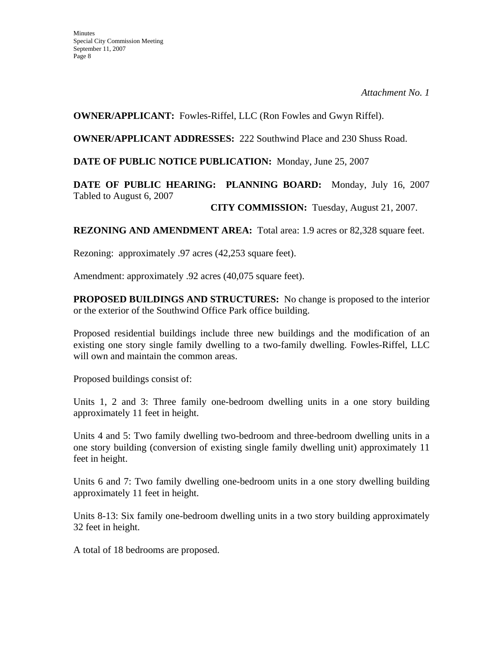### **OWNER/APPLICANT:** Fowles-Riffel, LLC (Ron Fowles and Gwyn Riffel).

**OWNER/APPLICANT ADDRESSES:** 222 Southwind Place and 230 Shuss Road.

#### **DATE OF PUBLIC NOTICE PUBLICATION:** Monday, June 25, 2007

# **DATE OF PUBLIC HEARING: PLANNING BOARD:** Monday, July 16, 2007 Tabled to August 6, 2007

**CITY COMMISSION:** Tuesday, August 21, 2007.

**REZONING AND AMENDMENT AREA:** Total area: 1.9 acres or 82,328 square feet.

Rezoning: approximately .97 acres (42,253 square feet).

Amendment: approximately .92 acres (40,075 square feet).

**PROPOSED BUILDINGS AND STRUCTURES:** No change is proposed to the interior or the exterior of the Southwind Office Park office building.

Proposed residential buildings include three new buildings and the modification of an existing one story single family dwelling to a two-family dwelling. Fowles-Riffel, LLC will own and maintain the common areas.

Proposed buildings consist of:

Units 1, 2 and 3: Three family one-bedroom dwelling units in a one story building approximately 11 feet in height.

Units 4 and 5: Two family dwelling two-bedroom and three-bedroom dwelling units in a one story building (conversion of existing single family dwelling unit) approximately 11 feet in height.

Units 6 and 7: Two family dwelling one-bedroom units in a one story dwelling building approximately 11 feet in height.

Units 8-13: Six family one-bedroom dwelling units in a two story building approximately 32 feet in height.

A total of 18 bedrooms are proposed.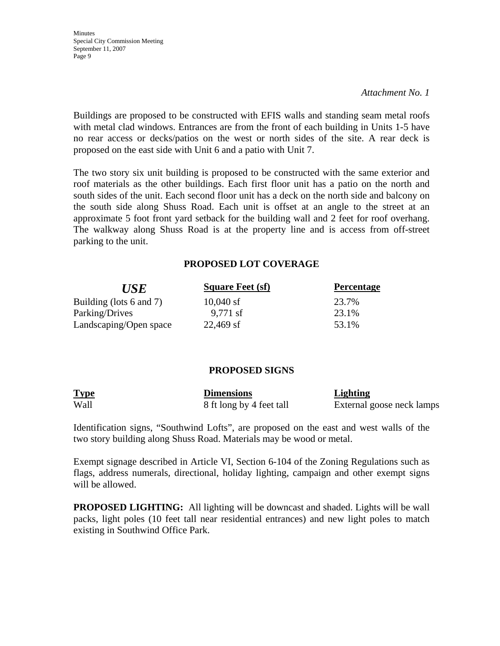*Attachment No. 1*

Buildings are proposed to be constructed with EFIS walls and standing seam metal roofs with metal clad windows. Entrances are from the front of each building in Units 1-5 have no rear access or decks/patios on the west or north sides of the site. A rear deck is proposed on the east side with Unit 6 and a patio with Unit 7.

The two story six unit building is proposed to be constructed with the same exterior and roof materials as the other buildings. Each first floor unit has a patio on the north and south sides of the unit. Each second floor unit has a deck on the north side and balcony on the south side along Shuss Road. Each unit is offset at an angle to the street at an approximate 5 foot front yard setback for the building wall and 2 feet for roof overhang. The walkway along Shuss Road is at the property line and is access from off-street parking to the unit.

#### **PROPOSED LOT COVERAGE**

| <b>USE</b>              | <b>Square Feet (sf)</b> | <b>Percentage</b> |
|-------------------------|-------------------------|-------------------|
| Building (lots 6 and 7) | $10,040$ sf             | 23.7%             |
| Parking/Drives          | $9,771$ sf              | 23.1%             |
| Landscaping/Open space  | $22,469$ sf             | 53.1%             |

#### **PROPOSED SIGNS**

| <b>Type</b> | <b>Dimensions</b>        | <b>Lighting</b>           |
|-------------|--------------------------|---------------------------|
| Wall        | 8 ft long by 4 feet tall | External goose neck lamps |

Identification signs, "Southwind Lofts", are proposed on the east and west walls of the two story building along Shuss Road. Materials may be wood or metal.

Exempt signage described in Article VI, Section 6-104 of the Zoning Regulations such as flags, address numerals, directional, holiday lighting, campaign and other exempt signs will be allowed.

**PROPOSED LIGHTING:** All lighting will be downcast and shaded. Lights will be wall packs, light poles (10 feet tall near residential entrances) and new light poles to match existing in Southwind Office Park.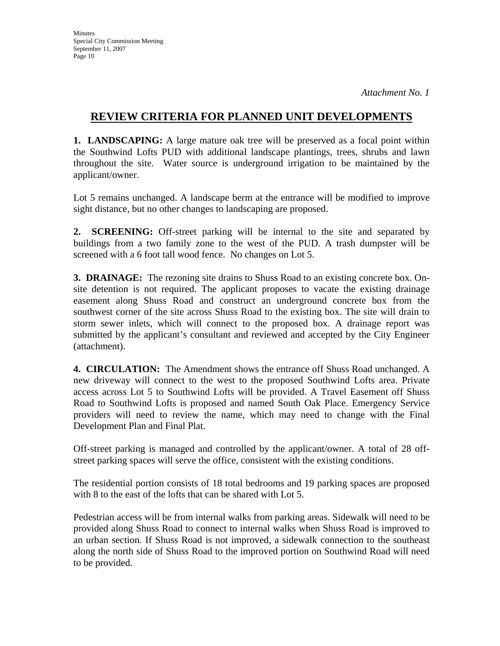# **REVIEW CRITERIA FOR PLANNED UNIT DEVELOPMENTS**

**1. LANDSCAPING:** A large mature oak tree will be preserved as a focal point within the Southwind Lofts PUD with additional landscape plantings, trees, shrubs and lawn throughout the site. Water source is underground irrigation to be maintained by the applicant/owner.

Lot 5 remains unchanged. A landscape berm at the entrance will be modified to improve sight distance, but no other changes to landscaping are proposed.

**2. SCREENING:** Off-street parking will be internal to the site and separated by buildings from a two family zone to the west of the PUD. A trash dumpster will be screened with a 6 foot tall wood fence. No changes on Lot 5.

**3. DRAINAGE:** The rezoning site drains to Shuss Road to an existing concrete box. Onsite detention is not required. The applicant proposes to vacate the existing drainage easement along Shuss Road and construct an underground concrete box from the southwest corner of the site across Shuss Road to the existing box. The site will drain to storm sewer inlets, which will connect to the proposed box. A drainage report was submitted by the applicant's consultant and reviewed and accepted by the City Engineer (attachment).

**4. CIRCULATION:** The Amendment shows the entrance off Shuss Road unchanged. A new driveway will connect to the west to the proposed Southwind Lofts area. Private access across Lot 5 to Southwind Lofts will be provided. A Travel Easement off Shuss Road to Southwind Lofts is proposed and named South Oak Place. Emergency Service providers will need to review the name, which may need to change with the Final Development Plan and Final Plat.

Off-street parking is managed and controlled by the applicant/owner. A total of 28 offstreet parking spaces will serve the office, consistent with the existing conditions.

The residential portion consists of 18 total bedrooms and 19 parking spaces are proposed with 8 to the east of the lofts that can be shared with Lot 5.

Pedestrian access will be from internal walks from parking areas. Sidewalk will need to be provided along Shuss Road to connect to internal walks when Shuss Road is improved to an urban section. If Shuss Road is not improved, a sidewalk connection to the southeast along the north side of Shuss Road to the improved portion on Southwind Road will need to be provided.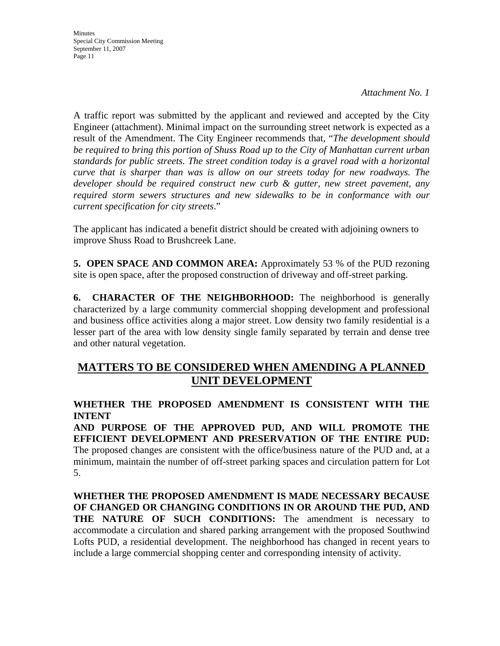**Minutes** Special City Commission Meeting September 11, 2007 Page 11

A traffic report was submitted by the applicant and reviewed and accepted by the City Engineer (attachment). Minimal impact on the surrounding street network is expected as a result of the Amendment. The City Engineer recommends that, "*The development should be required to bring this portion of Shuss Road up to the City of Manhattan current urban standards for public streets. The street condition today is a gravel road with a horizontal curve that is sharper than was is allow on our streets today for new roadways. The developer should be required construct new curb & gutter, new street pavement, any required storm sewers structures and new sidewalks to be in conformance with our current specification for city streets*."

The applicant has indicated a benefit district should be created with adjoining owners to improve Shuss Road to Brushcreek Lane.

**5. OPEN SPACE AND COMMON AREA:** Approximately 53 % of the PUD rezoning site is open space, after the proposed construction of driveway and off-street parking.

**6. CHARACTER OF THE NEIGHBORHOOD:** The neighborhood is generally characterized by a large community commercial shopping development and professional and business office activities along a major street. Low density two family residential is a lesser part of the area with low density single family separated by terrain and dense tree and other natural vegetation.

# **MATTERS TO BE CONSIDERED WHEN AMENDING A PLANNED UNIT DEVELOPMENT**

### **WHETHER THE PROPOSED AMENDMENT IS CONSISTENT WITH THE INTENT**

**AND PURPOSE OF THE APPROVED PUD, AND WILL PROMOTE THE EFFICIENT DEVELOPMENT AND PRESERVATION OF THE ENTIRE PUD:**  The proposed changes are consistent with the office/business nature of the PUD and, at a minimum, maintain the number of off-street parking spaces and circulation pattern for Lot 5.

**WHETHER THE PROPOSED AMENDMENT IS MADE NECESSARY BECAUSE OF CHANGED OR CHANGING CONDITIONS IN OR AROUND THE PUD, AND THE NATURE OF SUCH CONDITIONS:** The amendment is necessary to accommodate a circulation and shared parking arrangement with the proposed Southwind Lofts PUD, a residential development. The neighborhood has changed in recent years to include a large commercial shopping center and corresponding intensity of activity.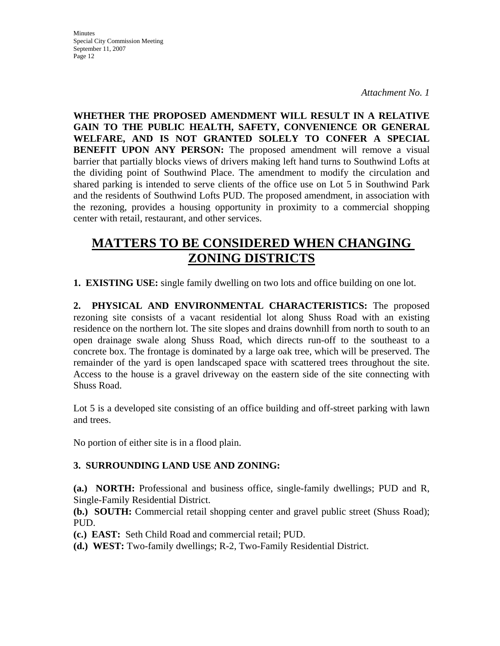*Attachment No. 1*

**WHETHER THE PROPOSED AMENDMENT WILL RESULT IN A RELATIVE GAIN TO THE PUBLIC HEALTH, SAFETY, CONVENIENCE OR GENERAL WELFARE, AND IS NOT GRANTED SOLELY TO CONFER A SPECIAL BENEFIT UPON ANY PERSON:** The proposed amendment will remove a visual barrier that partially blocks views of drivers making left hand turns to Southwind Lofts at the dividing point of Southwind Place. The amendment to modify the circulation and shared parking is intended to serve clients of the office use on Lot 5 in Southwind Park and the residents of Southwind Lofts PUD. The proposed amendment, in association with the rezoning, provides a housing opportunity in proximity to a commercial shopping center with retail, restaurant, and other services.

# **MATTERS TO BE CONSIDERED WHEN CHANGING ZONING DISTRICTS**

**1. EXISTING USE:** single family dwelling on two lots and office building on one lot.

**2. PHYSICAL AND ENVIRONMENTAL CHARACTERISTICS:** The proposed rezoning site consists of a vacant residential lot along Shuss Road with an existing residence on the northern lot. The site slopes and drains downhill from north to south to an open drainage swale along Shuss Road, which directs run-off to the southeast to a concrete box. The frontage is dominated by a large oak tree, which will be preserved. The remainder of the yard is open landscaped space with scattered trees throughout the site. Access to the house is a gravel driveway on the eastern side of the site connecting with Shuss Road.

Lot 5 is a developed site consisting of an office building and off-street parking with lawn and trees.

No portion of either site is in a flood plain.

#### **3. SURROUNDING LAND USE AND ZONING:**

**(a.) NORTH:** Professional and business office, single-family dwellings; PUD and R, Single-Family Residential District.

**(b.) SOUTH:** Commercial retail shopping center and gravel public street (Shuss Road); PUD.

- **(c.) EAST:** Seth Child Road and commercial retail; PUD.
- **(d.) WEST:** Two-family dwellings; R-2, Two-Family Residential District.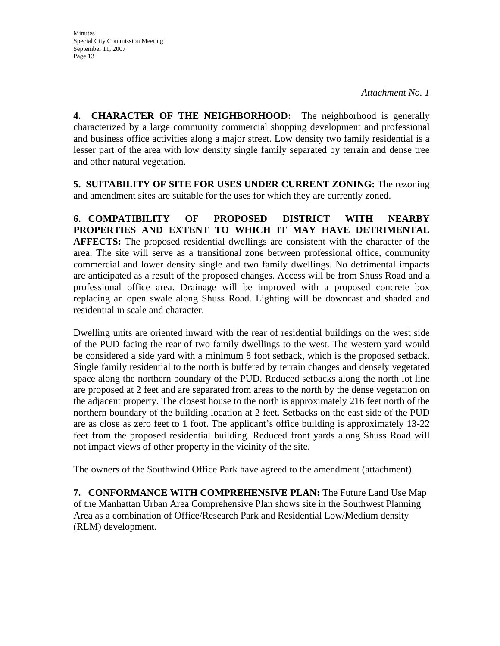**4. CHARACTER OF THE NEIGHBORHOOD:** The neighborhood is generally characterized by a large community commercial shopping development and professional and business office activities along a major street. Low density two family residential is a lesser part of the area with low density single family separated by terrain and dense tree and other natural vegetation.

**5. SUITABILITY OF SITE FOR USES UNDER CURRENT ZONING:** The rezoning and amendment sites are suitable for the uses for which they are currently zoned.

**6. COMPATIBILITY OF PROPOSED DISTRICT WITH NEARBY PROPERTIES AND EXTENT TO WHICH IT MAY HAVE DETRIMENTAL AFFECTS:** The proposed residential dwellings are consistent with the character of the area. The site will serve as a transitional zone between professional office, community commercial and lower density single and two family dwellings. No detrimental impacts are anticipated as a result of the proposed changes. Access will be from Shuss Road and a professional office area. Drainage will be improved with a proposed concrete box replacing an open swale along Shuss Road. Lighting will be downcast and shaded and residential in scale and character.

Dwelling units are oriented inward with the rear of residential buildings on the west side of the PUD facing the rear of two family dwellings to the west. The western yard would be considered a side yard with a minimum 8 foot setback, which is the proposed setback. Single family residential to the north is buffered by terrain changes and densely vegetated space along the northern boundary of the PUD. Reduced setbacks along the north lot line are proposed at 2 feet and are separated from areas to the north by the dense vegetation on the adjacent property. The closest house to the north is approximately 216 feet north of the northern boundary of the building location at 2 feet. Setbacks on the east side of the PUD are as close as zero feet to 1 foot. The applicant's office building is approximately 13-22 feet from the proposed residential building. Reduced front yards along Shuss Road will not impact views of other property in the vicinity of the site.

The owners of the Southwind Office Park have agreed to the amendment (attachment).

**7. CONFORMANCE WITH COMPREHENSIVE PLAN:** The Future Land Use Map of the Manhattan Urban Area Comprehensive Plan shows site in the Southwest Planning Area as a combination of Office/Research Park and Residential Low/Medium density (RLM) development.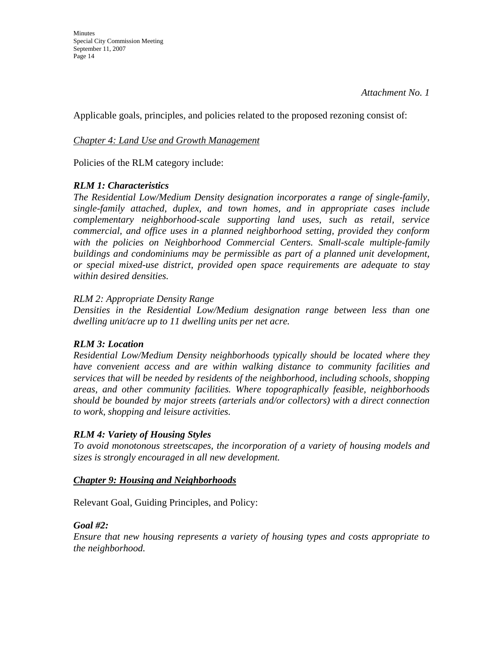*Attachment No. 1*

Applicable goals, principles, and policies related to the proposed rezoning consist of:

#### *Chapter 4: Land Use and Growth Management*

Policies of the RLM category include:

### *RLM 1: Characteristics*

*The Residential Low/Medium Density designation incorporates a range of single-family, single-family attached, duplex, and town homes, and in appropriate cases include complementary neighborhood-scale supporting land uses, such as retail, service commercial, and office uses in a planned neighborhood setting, provided they conform*  with the policies on Neighborhood Commercial Centers. Small-scale multiple-family *buildings and condominiums may be permissible as part of a planned unit development, or special mixed-use district, provided open space requirements are adequate to stay within desired densities.* 

#### *RLM 2: Appropriate Density Range*

*Densities in the Residential Low/Medium designation range between less than one dwelling unit/acre up to 11 dwelling units per net acre.* 

#### *RLM 3: Location*

*Residential Low/Medium Density neighborhoods typically should be located where they have convenient access and are within walking distance to community facilities and services that will be needed by residents of the neighborhood, including schools, shopping areas, and other community facilities. Where topographically feasible, neighborhoods should be bounded by major streets (arterials and/or collectors) with a direct connection to work, shopping and leisure activities.* 

# *RLM 4: Variety of Housing Styles*

*To avoid monotonous streetscapes, the incorporation of a variety of housing models and sizes is strongly encouraged in all new development.* 

#### *Chapter 9: Housing and Neighborhoods*

Relevant Goal, Guiding Principles, and Policy:

#### *Goal #2:*

*Ensure that new housing represents a variety of housing types and costs appropriate to the neighborhood.*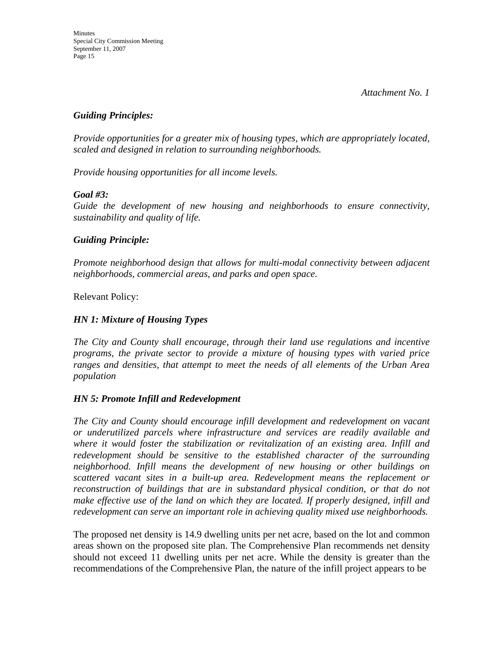*Attachment No. 1*

#### *Guiding Principles:*

*Provide opportunities for a greater mix of housing types, which are appropriately located, scaled and designed in relation to surrounding neighborhoods.* 

*Provide housing opportunities for all income levels.* 

#### *Goal #3:*

*Guide the development of new housing and neighborhoods to ensure connectivity, sustainability and quality of life.* 

#### *Guiding Principle:*

*Promote neighborhood design that allows for multi-modal connectivity between adjacent neighborhoods, commercial areas, and parks and open space.* 

Relevant Policy:

#### *HN 1: Mixture of Housing Types*

*The City and County shall encourage, through their land use regulations and incentive programs, the private sector to provide a mixture of housing types with varied price ranges and densities, that attempt to meet the needs of all elements of the Urban Area population*

#### *HN 5: Promote Infill and Redevelopment*

*The City and County should encourage infill development and redevelopment on vacant or underutilized parcels where infrastructure and services are readily available and where it would foster the stabilization or revitalization of an existing area. Infill and redevelopment should be sensitive to the established character of the surrounding neighborhood. Infill means the development of new housing or other buildings on scattered vacant sites in a built-up area. Redevelopment means the replacement or reconstruction of buildings that are in substandard physical condition, or that do not make effective use of the land on which they are located. If properly designed, infill and redevelopment can serve an important role in achieving quality mixed use neighborhoods.* 

The proposed net density is 14.9 dwelling units per net acre, based on the lot and common areas shown on the proposed site plan. The Comprehensive Plan recommends net density should not exceed 11 dwelling units per net acre. While the density is greater than the recommendations of the Comprehensive Plan, the nature of the infill project appears to be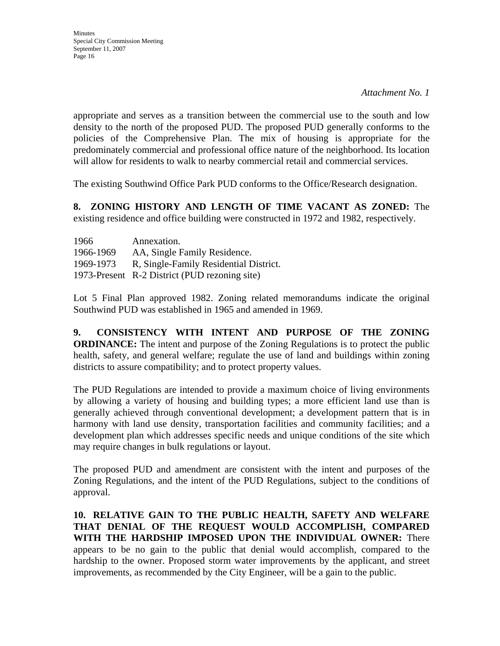appropriate and serves as a transition between the commercial use to the south and low density to the north of the proposed PUD. The proposed PUD generally conforms to the policies of the Comprehensive Plan. The mix of housing is appropriate for the predominately commercial and professional office nature of the neighborhood. Its location will allow for residents to walk to nearby commercial retail and commercial services.

The existing Southwind Office Park PUD conforms to the Office/Research designation.

**8. ZONING HISTORY AND LENGTH OF TIME VACANT AS ZONED:** The existing residence and office building were constructed in 1972 and 1982, respectively.

| 1966      | Annexation.                                   |
|-----------|-----------------------------------------------|
| 1966-1969 | AA, Single Family Residence.                  |
| 1969-1973 | R, Single-Family Residential District.        |
|           | 1973-Present R-2 District (PUD rezoning site) |

Lot 5 Final Plan approved 1982. Zoning related memorandums indicate the original Southwind PUD was established in 1965 and amended in 1969.

**9. CONSISTENCY WITH INTENT AND PURPOSE OF THE ZONING ORDINANCE:** The intent and purpose of the Zoning Regulations is to protect the public health, safety, and general welfare; regulate the use of land and buildings within zoning districts to assure compatibility; and to protect property values.

The PUD Regulations are intended to provide a maximum choice of living environments by allowing a variety of housing and building types; a more efficient land use than is generally achieved through conventional development; a development pattern that is in harmony with land use density, transportation facilities and community facilities; and a development plan which addresses specific needs and unique conditions of the site which may require changes in bulk regulations or layout.

The proposed PUD and amendment are consistent with the intent and purposes of the Zoning Regulations, and the intent of the PUD Regulations, subject to the conditions of approval.

**10. RELATIVE GAIN TO THE PUBLIC HEALTH, SAFETY AND WELFARE THAT DENIAL OF THE REQUEST WOULD ACCOMPLISH, COMPARED WITH THE HARDSHIP IMPOSED UPON THE INDIVIDUAL OWNER:** There appears to be no gain to the public that denial would accomplish, compared to the hardship to the owner. Proposed storm water improvements by the applicant, and street improvements, as recommended by the City Engineer, will be a gain to the public.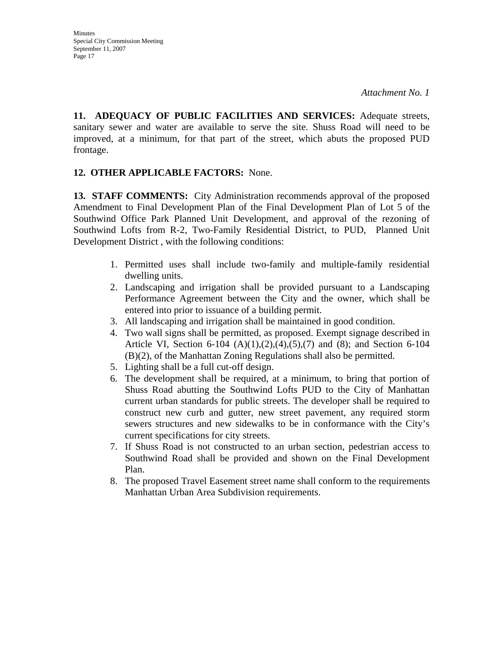**11. ADEQUACY OF PUBLIC FACILITIES AND SERVICES:** Adequate streets, sanitary sewer and water are available to serve the site. Shuss Road will need to be improved, at a minimum, for that part of the street, which abuts the proposed PUD frontage.

#### **12. OTHER APPLICABLE FACTORS:** None.

**13. STAFF COMMENTS:** City Administration recommends approval of the proposed Amendment to Final Development Plan of the Final Development Plan of Lot 5 of the Southwind Office Park Planned Unit Development, and approval of the rezoning of Southwind Lofts from R-2, Two-Family Residential District, to PUD, Planned Unit Development District , with the following conditions:

- 1. Permitted uses shall include two-family and multiple-family residential dwelling units.
- 2. Landscaping and irrigation shall be provided pursuant to a Landscaping Performance Agreement between the City and the owner, which shall be entered into prior to issuance of a building permit.
- 3. All landscaping and irrigation shall be maintained in good condition.
- 4. Two wall signs shall be permitted, as proposed. Exempt signage described in Article VI, Section 6-104 (A)(1),(2),(4),(5),(7) and (8); and Section 6-104 (B)(2), of the Manhattan Zoning Regulations shall also be permitted.
- 5. Lighting shall be a full cut-off design.
- 6. The development shall be required, at a minimum, to bring that portion of Shuss Road abutting the Southwind Lofts PUD to the City of Manhattan current urban standards for public streets. The developer shall be required to construct new curb and gutter, new street pavement, any required storm sewers structures and new sidewalks to be in conformance with the City's current specifications for city streets.
- 7. If Shuss Road is not constructed to an urban section, pedestrian access to Southwind Road shall be provided and shown on the Final Development Plan.
- 8. The proposed Travel Easement street name shall conform to the requirements Manhattan Urban Area Subdivision requirements.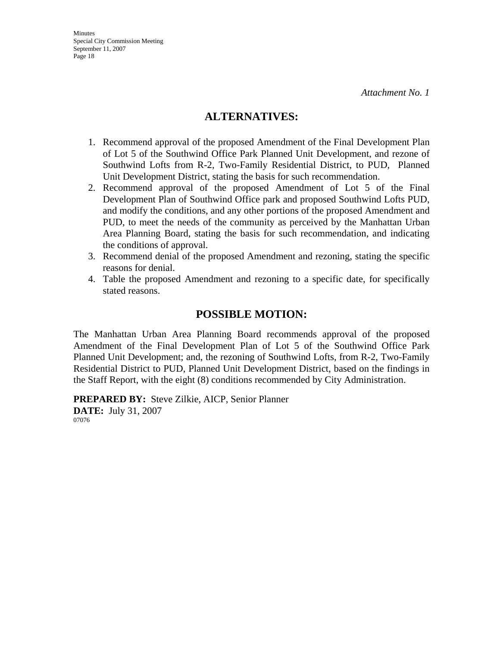# **ALTERNATIVES:**

- 1. Recommend approval of the proposed Amendment of the Final Development Plan of Lot 5 of the Southwind Office Park Planned Unit Development, and rezone of Southwind Lofts from R-2, Two-Family Residential District, to PUD, Planned Unit Development District, stating the basis for such recommendation.
- 2. Recommend approval of the proposed Amendment of Lot 5 of the Final Development Plan of Southwind Office park and proposed Southwind Lofts PUD, and modify the conditions, and any other portions of the proposed Amendment and PUD, to meet the needs of the community as perceived by the Manhattan Urban Area Planning Board, stating the basis for such recommendation, and indicating the conditions of approval.
- 3. Recommend denial of the proposed Amendment and rezoning, stating the specific reasons for denial.
- 4. Table the proposed Amendment and rezoning to a specific date, for specifically stated reasons.

# **POSSIBLE MOTION:**

The Manhattan Urban Area Planning Board recommends approval of the proposed Amendment of the Final Development Plan of Lot 5 of the Southwind Office Park Planned Unit Development; and, the rezoning of Southwind Lofts, from R-2, Two-Family Residential District to PUD, Planned Unit Development District, based on the findings in the Staff Report, with the eight (8) conditions recommended by City Administration.

**PREPARED BY:** Steve Zilkie, AICP, Senior Planner **DATE:** July 31, 2007 07076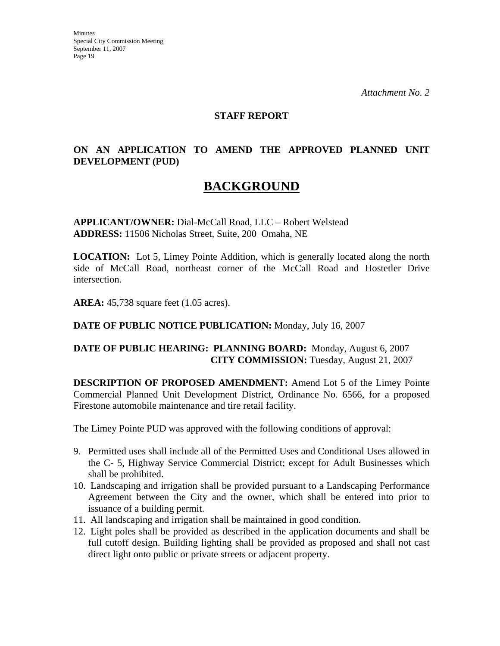#### **STAFF REPORT**

### **ON AN APPLICATION TO AMEND THE APPROVED PLANNED UNIT DEVELOPMENT (PUD)**

# **BACKGROUND**

**APPLICANT/OWNER:** Dial-McCall Road, LLC – Robert Welstead **ADDRESS:** 11506 Nicholas Street, Suite, 200 Omaha, NE

**LOCATION:** Lot 5, Limey Pointe Addition, which is generally located along the north side of McCall Road, northeast corner of the McCall Road and Hostetler Drive intersection.

**AREA:** 45,738 square feet (1.05 acres).

#### **DATE OF PUBLIC NOTICE PUBLICATION:** Monday, July 16, 2007

#### **DATE OF PUBLIC HEARING: PLANNING BOARD:** Monday, August 6, 2007 **CITY COMMISSION:** Tuesday, August 21, 2007

**DESCRIPTION OF PROPOSED AMENDMENT:** Amend Lot 5 of the Limey Pointe Commercial Planned Unit Development District, Ordinance No. 6566, for a proposed Firestone automobile maintenance and tire retail facility.

The Limey Pointe PUD was approved with the following conditions of approval:

- 9. Permitted uses shall include all of the Permitted Uses and Conditional Uses allowed in the C- 5, Highway Service Commercial District; except for Adult Businesses which shall be prohibited.
- 10. Landscaping and irrigation shall be provided pursuant to a Landscaping Performance Agreement between the City and the owner, which shall be entered into prior to issuance of a building permit.
- 11. All landscaping and irrigation shall be maintained in good condition.
- 12. Light poles shall be provided as described in the application documents and shall be full cutoff design. Building lighting shall be provided as proposed and shall not cast direct light onto public or private streets or adjacent property.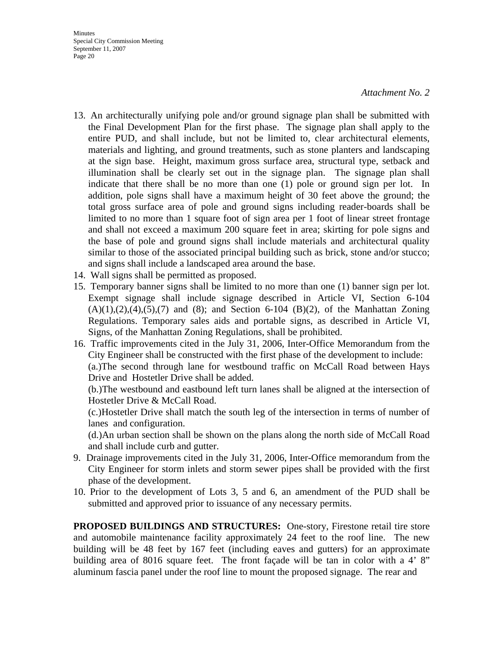#### *Attachment No. 2*

- 13. An architecturally unifying pole and/or ground signage plan shall be submitted with the Final Development Plan for the first phase. The signage plan shall apply to the entire PUD, and shall include, but not be limited to, clear architectural elements, materials and lighting, and ground treatments, such as stone planters and landscaping at the sign base. Height, maximum gross surface area, structural type, setback and illumination shall be clearly set out in the signage plan. The signage plan shall indicate that there shall be no more than one (1) pole or ground sign per lot. In addition, pole signs shall have a maximum height of 30 feet above the ground; the total gross surface area of pole and ground signs including reader-boards shall be limited to no more than 1 square foot of sign area per 1 foot of linear street frontage and shall not exceed a maximum 200 square feet in area; skirting for pole signs and the base of pole and ground signs shall include materials and architectural quality similar to those of the associated principal building such as brick, stone and/or stucco; and signs shall include a landscaped area around the base.
- 14. Wall signs shall be permitted as proposed.
- 15. Temporary banner signs shall be limited to no more than one (1) banner sign per lot. Exempt signage shall include signage described in Article VI, Section 6-104  $(A)(1),(2),(4),(5),(7)$  and  $(8)$ ; and Section 6-104  $(B)(2)$ , of the Manhattan Zoning Regulations. Temporary sales aids and portable signs, as described in Article VI, Signs, of the Manhattan Zoning Regulations, shall be prohibited.
- 16. Traffic improvements cited in the July 31, 2006, Inter-Office Memorandum from the City Engineer shall be constructed with the first phase of the development to include: (a.)The second through lane for westbound traffic on McCall Road between Hays Drive and Hostetler Drive shall be added.

 (b.)The westbound and eastbound left turn lanes shall be aligned at the intersection of Hostetler Drive & McCall Road.

 (c.)Hostetler Drive shall match the south leg of the intersection in terms of number of lanes and configuration.

 (d.)An urban section shall be shown on the plans along the north side of McCall Road and shall include curb and gutter.

- 9. Drainage improvements cited in the July 31, 2006, Inter-Office memorandum from the City Engineer for storm inlets and storm sewer pipes shall be provided with the first phase of the development.
- 10. Prior to the development of Lots 3, 5 and 6, an amendment of the PUD shall be submitted and approved prior to issuance of any necessary permits.

**PROPOSED BUILDINGS AND STRUCTURES:** One-story, Firestone retail tire store and automobile maintenance facility approximately 24 feet to the roof line. The new building will be 48 feet by 167 feet (including eaves and gutters) for an approximate building area of 8016 square feet. The front façade will be tan in color with a 4' 8" aluminum fascia panel under the roof line to mount the proposed signage. The rear and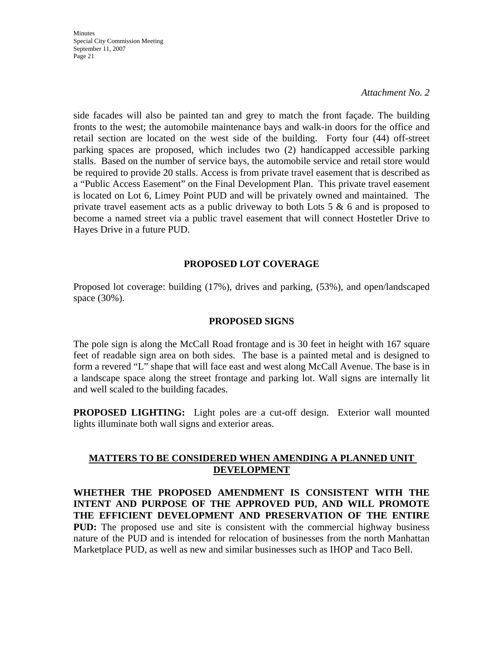*Attachment No. 2*

side facades will also be painted tan and grey to match the front façade. The building fronts to the west; the automobile maintenance bays and walk-in doors for the office and retail section are located on the west side of the building. Forty four (44) off-street parking spaces are proposed, which includes two (2) handicapped accessible parking stalls. Based on the number of service bays, the automobile service and retail store would be required to provide 20 stalls. Access is from private travel easement that is described as a "Public Access Easement" on the Final Development Plan. This private travel easement is located on Lot 6, Limey Point PUD and will be privately owned and maintained. The private travel easement acts as a public driveway to both Lots  $5 \& 6$  and is proposed to become a named street via a public travel easement that will connect Hostetler Drive to Hayes Drive in a future PUD.

#### **PROPOSED LOT COVERAGE**

Proposed lot coverage: building (17%), drives and parking, (53%), and open/landscaped space (30%).

#### **PROPOSED SIGNS**

The pole sign is along the McCall Road frontage and is 30 feet in height with 167 square feet of readable sign area on both sides. The base is a painted metal and is designed to form a revered "L" shape that will face east and west along McCall Avenue. The base is in a landscape space along the street frontage and parking lot. Wall signs are internally lit and well scaled to the building facades.

**PROPOSED LIGHTING:** Light poles are a cut-off design. Exterior wall mounted lights illuminate both wall signs and exterior areas.

### **MATTERS TO BE CONSIDERED WHEN AMENDING A PLANNED UNIT DEVELOPMENT**

**WHETHER THE PROPOSED AMENDMENT IS CONSISTENT WITH THE INTENT AND PURPOSE OF THE APPROVED PUD, AND WILL PROMOTE THE EFFICIENT DEVELOPMENT AND PRESERVATION OF THE ENTIRE PUD:** The proposed use and site is consistent with the commercial highway business nature of the PUD and is intended for relocation of businesses from the north Manhattan Marketplace PUD, as well as new and similar businesses such as IHOP and Taco Bell.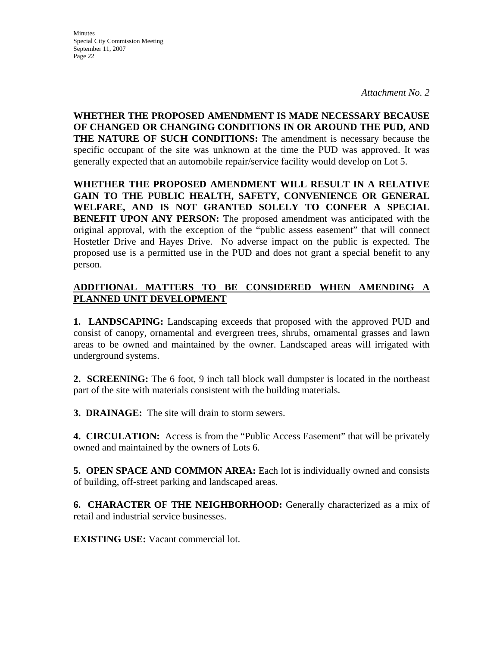*Attachment No. 2*

**WHETHER THE PROPOSED AMENDMENT IS MADE NECESSARY BECAUSE OF CHANGED OR CHANGING CONDITIONS IN OR AROUND THE PUD, AND THE NATURE OF SUCH CONDITIONS:** The amendment is necessary because the specific occupant of the site was unknown at the time the PUD was approved. It was generally expected that an automobile repair/service facility would develop on Lot 5.

**WHETHER THE PROPOSED AMENDMENT WILL RESULT IN A RELATIVE GAIN TO THE PUBLIC HEALTH, SAFETY, CONVENIENCE OR GENERAL WELFARE, AND IS NOT GRANTED SOLELY TO CONFER A SPECIAL BENEFIT UPON ANY PERSON:** The proposed amendment was anticipated with the original approval, with the exception of the "public assess easement" that will connect Hostetler Drive and Hayes Drive. No adverse impact on the public is expected. The proposed use is a permitted use in the PUD and does not grant a special benefit to any person.

## **ADDITIONAL MATTERS TO BE CONSIDERED WHEN AMENDING A PLANNED UNIT DEVELOPMENT**

**1. LANDSCAPING:** Landscaping exceeds that proposed with the approved PUD and consist of canopy, ornamental and evergreen trees, shrubs, ornamental grasses and lawn areas to be owned and maintained by the owner. Landscaped areas will irrigated with underground systems.

**2. SCREENING:** The 6 foot, 9 inch tall block wall dumpster is located in the northeast part of the site with materials consistent with the building materials.

**3. DRAINAGE:** The site will drain to storm sewers.

**4. CIRCULATION:** Access is from the "Public Access Easement" that will be privately owned and maintained by the owners of Lots 6.

**5. OPEN SPACE AND COMMON AREA:** Each lot is individually owned and consists of building, off-street parking and landscaped areas.

**6. CHARACTER OF THE NEIGHBORHOOD:** Generally characterized as a mix of retail and industrial service businesses.

**EXISTING USE:** Vacant commercial lot.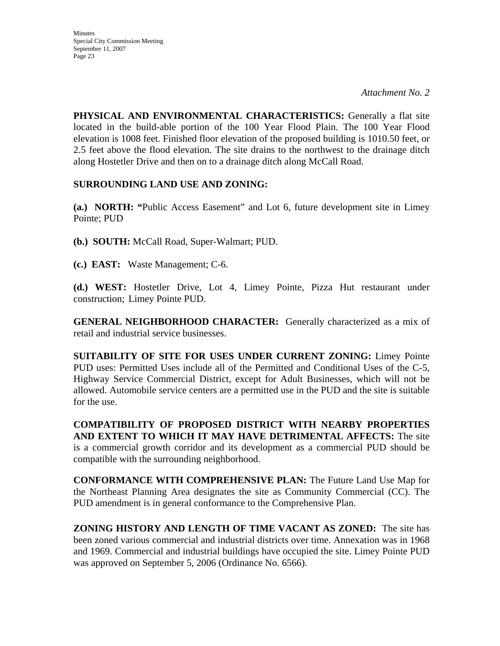**PHYSICAL AND ENVIRONMENTAL CHARACTERISTICS:** Generally a flat site located in the build-able portion of the 100 Year Flood Plain. The 100 Year Flood elevation is 1008 feet. Finished floor elevation of the proposed building is 1010.50 feet, or 2.5 feet above the flood elevation. The site drains to the northwest to the drainage ditch along Hostetler Drive and then on to a drainage ditch along McCall Road.

# **SURROUNDING LAND USE AND ZONING:**

**(a.) NORTH: "**Public Access Easement" and Lot 6, future development site in Limey Pointe; PUD

- **(b.) SOUTH:** McCall Road, Super-Walmart; PUD.
- **(c.) EAST:** Waste Management; C-6.

**(d.) WEST:** Hostetler Drive, Lot 4, Limey Pointe, Pizza Hut restaurant under construction; Limey Pointe PUD.

**GENERAL NEIGHBORHOOD CHARACTER:** Generally characterized as a mix of retail and industrial service businesses.

**SUITABILITY OF SITE FOR USES UNDER CURRENT ZONING:** Limey Pointe PUD uses: Permitted Uses include all of the Permitted and Conditional Uses of the C-5, Highway Service Commercial District, except for Adult Businesses, which will not be allowed. Automobile service centers are a permitted use in the PUD and the site is suitable for the use.

**COMPATIBILITY OF PROPOSED DISTRICT WITH NEARBY PROPERTIES AND EXTENT TO WHICH IT MAY HAVE DETRIMENTAL AFFECTS:** The site is a commercial growth corridor and its development as a commercial PUD should be compatible with the surrounding neighborhood.

**CONFORMANCE WITH COMPREHENSIVE PLAN:** The Future Land Use Map for the Northeast Planning Area designates the site as Community Commercial (CC). The PUD amendment is in general conformance to the Comprehensive Plan.

**ZONING HISTORY AND LENGTH OF TIME VACANT AS ZONED:** The site has been zoned various commercial and industrial districts over time. Annexation was in 1968 and 1969. Commercial and industrial buildings have occupied the site. Limey Pointe PUD was approved on September 5, 2006 (Ordinance No. 6566).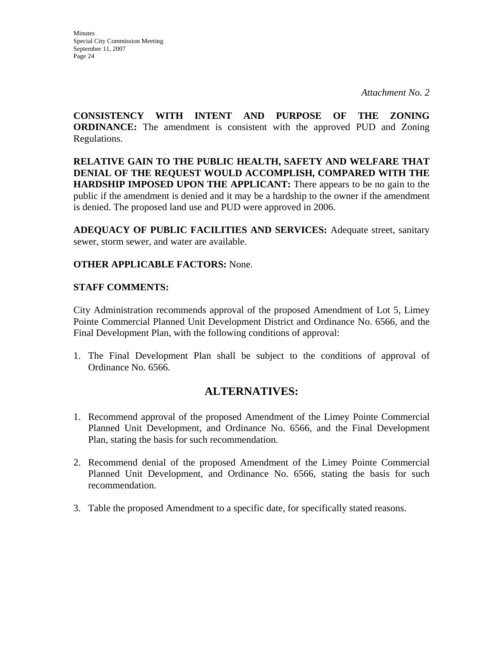*Attachment No. 2*

**CONSISTENCY WITH INTENT AND PURPOSE OF THE ZONING ORDINANCE:** The amendment is consistent with the approved PUD and Zoning Regulations.

**RELATIVE GAIN TO THE PUBLIC HEALTH, SAFETY AND WELFARE THAT DENIAL OF THE REQUEST WOULD ACCOMPLISH, COMPARED WITH THE HARDSHIP IMPOSED UPON THE APPLICANT:** There appears to be no gain to the public if the amendment is denied and it may be a hardship to the owner if the amendment is denied. The proposed land use and PUD were approved in 2006.

**ADEQUACY OF PUBLIC FACILITIES AND SERVICES:** Adequate street, sanitary sewer, storm sewer, and water are available.

### **OTHER APPLICABLE FACTORS:** None.

#### **STAFF COMMENTS:**

City Administration recommends approval of the proposed Amendment of Lot 5, Limey Pointe Commercial Planned Unit Development District and Ordinance No. 6566, and the Final Development Plan, with the following conditions of approval:

1. The Final Development Plan shall be subject to the conditions of approval of Ordinance No. 6566.

# **ALTERNATIVES:**

- 1. Recommend approval of the proposed Amendment of the Limey Pointe Commercial Planned Unit Development, and Ordinance No. 6566, and the Final Development Plan, stating the basis for such recommendation.
- 2. Recommend denial of the proposed Amendment of the Limey Pointe Commercial Planned Unit Development, and Ordinance No. 6566, stating the basis for such recommendation.
- 3. Table the proposed Amendment to a specific date, for specifically stated reasons.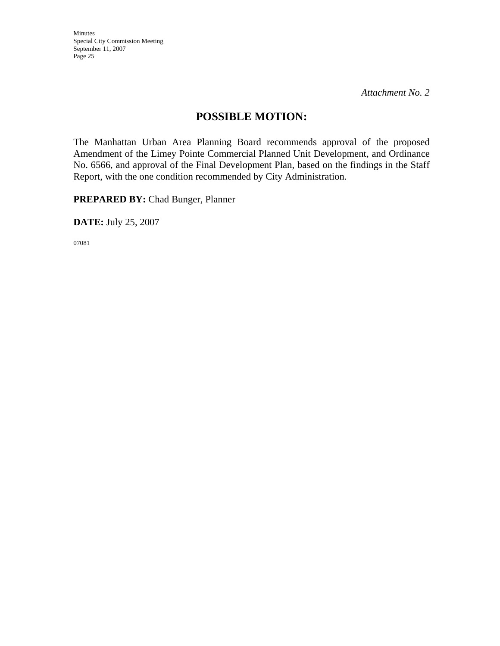*Attachment No. 2*

# **POSSIBLE MOTION:**

The Manhattan Urban Area Planning Board recommends approval of the proposed Amendment of the Limey Pointe Commercial Planned Unit Development, and Ordinance No. 6566, and approval of the Final Development Plan, based on the findings in the Staff Report, with the one condition recommended by City Administration.

**PREPARED BY:** Chad Bunger, Planner

**DATE:** July 25, 2007

07081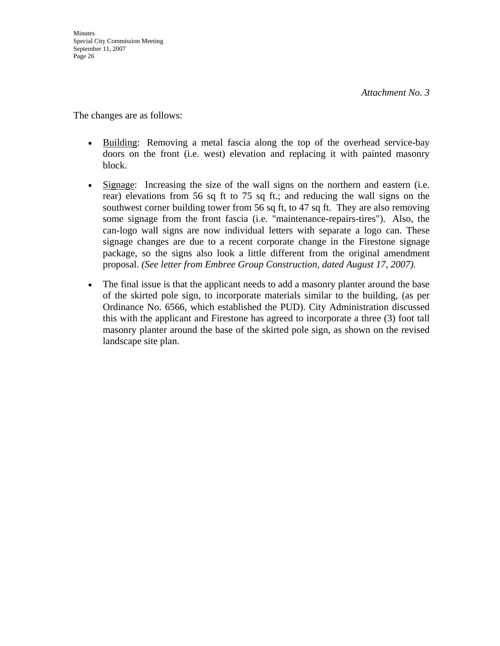The changes are as follows:

- Building: Removing a metal fascia along the top of the overhead service-bay doors on the front (i.e. west) elevation and replacing it with painted masonry block.
- Signage: Increasing the size of the wall signs on the northern and eastern (i.e. rear) elevations from 56 sq ft to 75 sq ft.; and reducing the wall signs on the southwest corner building tower from 56 sq ft, to 47 sq ft. They are also removing some signage from the front fascia (i.e. "maintenance-repairs-tires"). Also, the can-logo wall signs are now individual letters with separate a logo can. These signage changes are due to a recent corporate change in the Firestone signage package, so the signs also look a little different from the original amendment proposal. *(See letter from Embree Group Construction, dated August 17, 2007).*
- The final issue is that the applicant needs to add a masonry planter around the base of the skirted pole sign, to incorporate materials similar to the building, (as per Ordinance No. 6566, which established the PUD). City Administration discussed this with the applicant and Firestone has agreed to incorporate a three (3) foot tall masonry planter around the base of the skirted pole sign, as shown on the revised landscape site plan.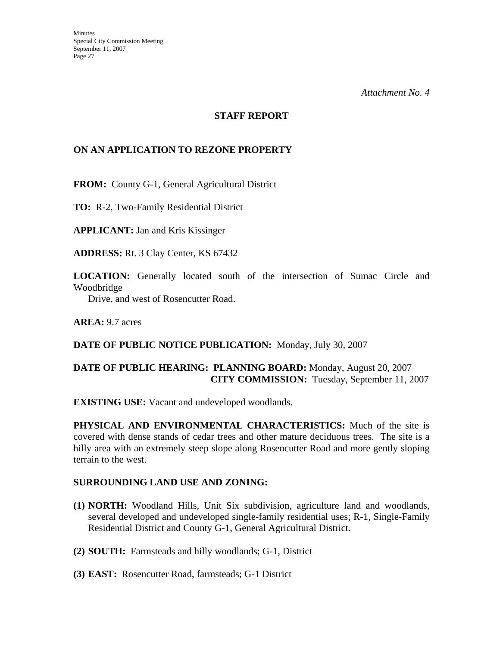*Attachment No. 4*

#### **STAFF REPORT**

#### **ON AN APPLICATION TO REZONE PROPERTY**

**FROM:** County G-1, General Agricultural District

**TO:** R-2, Two-Family Residential District

**APPLICANT:** Jan and Kris Kissinger

**ADDRESS:** Rt. 3 Clay Center, KS 67432

**LOCATION:** Generally located south of the intersection of Sumac Circle and Woodbridge

Drive, and west of Rosencutter Road.

**AREA:** 9.7 acres

#### **DATE OF PUBLIC NOTICE PUBLICATION:** Monday, July 30, 2007

# **DATE OF PUBLIC HEARING: PLANNING BOARD:** Monday, August 20, 2007 **CITY COMMISSION:** Tuesday, September 11, 2007

**EXISTING USE:** Vacant and undeveloped woodlands.

**PHYSICAL AND ENVIRONMENTAL CHARACTERISTICS:** Much of the site is covered with dense stands of cedar trees and other mature deciduous trees. The site is a hilly area with an extremely steep slope along Rosencutter Road and more gently sloping terrain to the west.

#### **SURROUNDING LAND USE AND ZONING:**

- **(1) NORTH:** Woodland Hills, Unit Six subdivision, agriculture land and woodlands, several developed and undeveloped single-family residential uses; R-1, Single-Family Residential District and County G-1, General Agricultural District.
- **(2) SOUTH:** Farmsteads and hilly woodlands; G-1, District
- **(3) EAST:** Rosencutter Road, farmsteads; G-1 District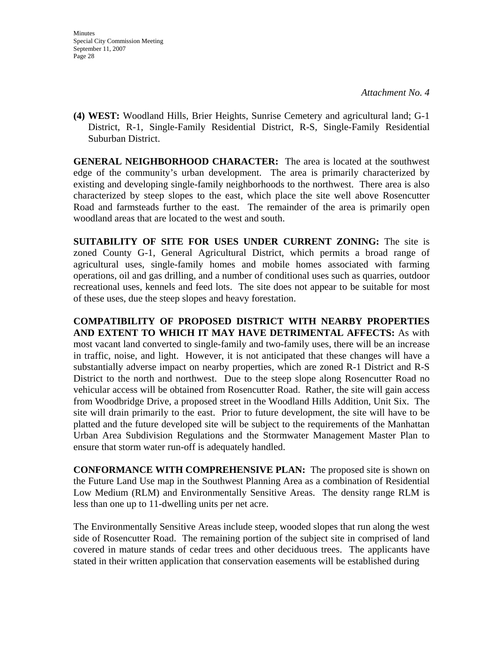**(4) WEST:** Woodland Hills, Brier Heights, Sunrise Cemetery and agricultural land; G-1 District, R-1, Single-Family Residential District, R-S, Single-Family Residential Suburban District.

**GENERAL NEIGHBORHOOD CHARACTER:** The area is located at the southwest edge of the community's urban development. The area is primarily characterized by existing and developing single-family neighborhoods to the northwest. There area is also characterized by steep slopes to the east, which place the site well above Rosencutter Road and farmsteads further to the east. The remainder of the area is primarily open woodland areas that are located to the west and south.

**SUITABILITY OF SITE FOR USES UNDER CURRENT ZONING:** The site is zoned County G-1, General Agricultural District, which permits a broad range of agricultural uses, single-family homes and mobile homes associated with farming operations, oil and gas drilling, and a number of conditional uses such as quarries, outdoor recreational uses, kennels and feed lots. The site does not appear to be suitable for most of these uses, due the steep slopes and heavy forestation.

**COMPATIBILITY OF PROPOSED DISTRICT WITH NEARBY PROPERTIES AND EXTENT TO WHICH IT MAY HAVE DETRIMENTAL AFFECTS:** As with most vacant land converted to single-family and two-family uses, there will be an increase in traffic, noise, and light. However, it is not anticipated that these changes will have a substantially adverse impact on nearby properties, which are zoned R-1 District and R-S District to the north and northwest. Due to the steep slope along Rosencutter Road no vehicular access will be obtained from Rosencutter Road. Rather, the site will gain access from Woodbridge Drive, a proposed street in the Woodland Hills Addition, Unit Six. The site will drain primarily to the east. Prior to future development, the site will have to be platted and the future developed site will be subject to the requirements of the Manhattan Urban Area Subdivision Regulations and the Stormwater Management Master Plan to ensure that storm water run-off is adequately handled.

**CONFORMANCE WITH COMPREHENSIVE PLAN:** The proposed site is shown on the Future Land Use map in the Southwest Planning Area as a combination of Residential Low Medium (RLM) and Environmentally Sensitive Areas. The density range RLM is less than one up to 11-dwelling units per net acre.

The Environmentally Sensitive Areas include steep, wooded slopes that run along the west side of Rosencutter Road. The remaining portion of the subject site in comprised of land covered in mature stands of cedar trees and other deciduous trees. The applicants have stated in their written application that conservation easements will be established during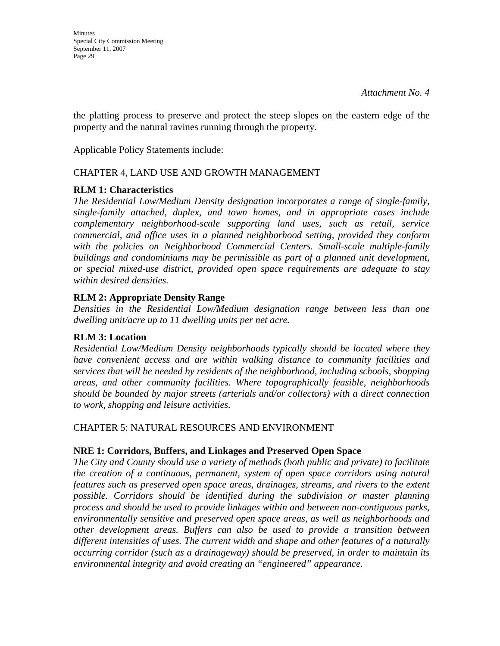the platting process to preserve and protect the steep slopes on the eastern edge of the property and the natural ravines running through the property.

Applicable Policy Statements include:

### CHAPTER 4, LAND USE AND GROWTH MANAGEMENT

#### **RLM 1: Characteristics**

*The Residential Low/Medium Density designation incorporates a range of single-family, single-family attached, duplex, and town homes, and in appropriate cases include complementary neighborhood-scale supporting land uses, such as retail, service commercial, and office uses in a planned neighborhood setting, provided they conform*  with the policies on Neighborhood Commercial Centers. Small-scale multiple-family *buildings and condominiums may be permissible as part of a planned unit development, or special mixed-use district, provided open space requirements are adequate to stay within desired densities.* 

#### **RLM 2: Appropriate Density Range**

*Densities in the Residential Low/Medium designation range between less than one dwelling unit/acre up to 11 dwelling units per net acre.* 

#### **RLM 3: Location**

*Residential Low/Medium Density neighborhoods typically should be located where they have convenient access and are within walking distance to community facilities and services that will be needed by residents of the neighborhood, including schools, shopping areas, and other community facilities. Where topographically feasible, neighborhoods should be bounded by major streets (arterials and/or collectors) with a direct connection to work, shopping and leisure activities.* 

CHAPTER 5: NATURAL RESOURCES AND ENVIRONMENT

# **NRE 1: Corridors, Buffers, and Linkages and Preserved Open Space**

*The City and County should use a variety of methods (both public and private) to facilitate the creation of a continuous, permanent, system of open space corridors using natural features such as preserved open space areas, drainages, streams, and rivers to the extent possible. Corridors should be identified during the subdivision or master planning process and should be used to provide linkages within and between non-contiguous parks, environmentally sensitive and preserved open space areas, as well as neighborhoods and other development areas. Buffers can also be used to provide a transition between different intensities of uses. The current width and shape and other features of a naturally occurring corridor (such as a drainageway) should be preserved, in order to maintain its environmental integrity and avoid creating an "engineered" appearance.*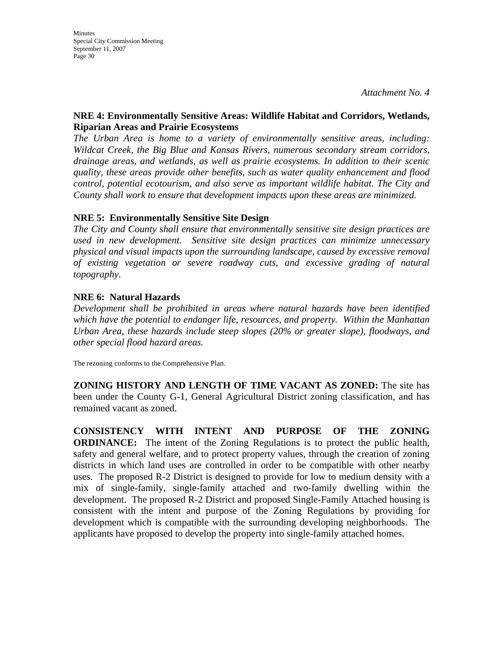#### **NRE 4: Environmentally Sensitive Areas: Wildlife Habitat and Corridors, Wetlands, Riparian Areas and Prairie Ecosystems**

*The Urban Area is home to a variety of environmentally sensitive areas, including: Wildcat Creek, the Big Blue and Kansas Rivers, numerous secondary stream corridors, drainage areas, and wetlands, as well as prairie ecosystems. In addition to their scenic quality, these areas provide other benefits, such as water quality enhancement and flood control, potential ecotourism, and also serve as important wildlife habitat. The City and County shall work to ensure that development impacts upon these areas are minimized.* 

# **NRE 5: Environmentally Sensitive Site Design**

*The City and County shall ensure that environmentally sensitive site design practices are used in new development. Sensitive site design practices can minimize unnecessary physical and visual impacts upon the surrounding landscape, caused by excessive removal of existing vegetation or severe roadway cuts, and excessive grading of natural topography.* 

# **NRE 6: Natural Hazards**

*Development shall be prohibited in areas where natural hazards have been identified which have the potential to endanger life, resources, and property. Within the Manhattan Urban Area, these hazards include steep slopes (20% or greater slope), floodways, and other special flood hazard areas.* 

The rezoning conforms to the Comprehensive Plan.

**ZONING HISTORY AND LENGTH OF TIME VACANT AS ZONED:** The site has been under the County G-1, General Agricultural District zoning classification, and has remained vacant as zoned.

**CONSISTENCY WITH INTENT AND PURPOSE OF THE ZONING ORDINANCE:** The intent of the Zoning Regulations is to protect the public health, safety and general welfare, and to protect property values, through the creation of zoning districts in which land uses are controlled in order to be compatible with other nearby uses. The proposed R-2 District is designed to provide for low to medium density with a mix of single-family, single-family attached and two-family dwelling within the development. The proposed R-2 District and proposed Single-Family Attached housing is consistent with the intent and purpose of the Zoning Regulations by providing for development which is compatible with the surrounding developing neighborhoods. The applicants have proposed to develop the property into single-family attached homes.